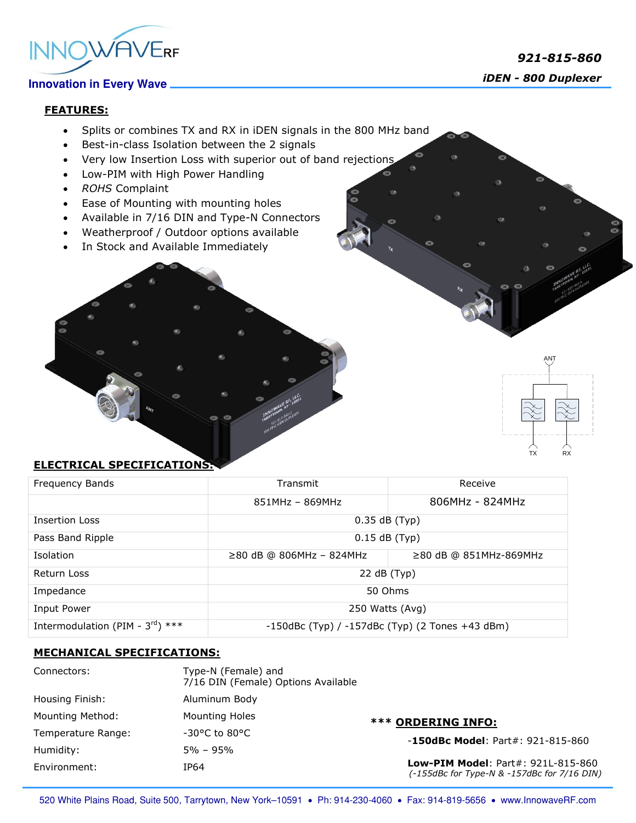

# *iDEN - <sup>800</sup> Duplexer*

### **FEATURES:**

- Splits or combines TX and RX in iDEN signals in the 800 MHz band
- Best-in-class Isolation between the 2 signals
- Very low Insertion Loss with superior out of band rejections
- Low-PIM with High Power Handling
- *ROHS* Complaint
- Ease of Mounting with mounting holes
- Available in 7/16 DIN and Type-N Connectors
- Weatherproof / Outdoor options available
- In Stock and Available Immediately

# R<sub>X</sub>

ANT

### **ELECTRICAL SPECIFICATIONS:**

| Frequency Bands                              | Transmit                                              | Receive                      |
|----------------------------------------------|-------------------------------------------------------|------------------------------|
|                                              | $851MHz - 869MHz$                                     | 806MHz - 824MHz              |
| <b>Insertion Loss</b>                        | $0.35$ dB (Typ)                                       |                              |
| Pass Band Ripple                             | $0.15$ dB (Typ)                                       |                              |
| Isolation                                    | ≥80 dB @ 806MHz - 824MHz                              | $\geq$ 80 dB @ 851MHz-869MHz |
| Return Loss                                  | 22 dB (Typ)                                           |                              |
| Impedance                                    | 50 Ohms                                               |                              |
| Input Power                                  | 250 Watts (Avg)                                       |                              |
| Intermodulation (PIM - $3^{\text{rd}}$ ) *** | $-150$ dBc (Typ) / $-157$ dBc (Typ) (2 Tones +43 dBm) |                              |

### **MECHANICAL SPECIFICATIONS:**

| Connectors:             | Type-N (Female) and<br>7/16 DIN (Female) Options Available |                                                                                          |
|-------------------------|------------------------------------------------------------|------------------------------------------------------------------------------------------|
| Housing Finish:         | Aluminum Body                                              |                                                                                          |
| <b>Mounting Method:</b> | <b>Mounting Holes</b>                                      | <b>*** ORDERING INFO:</b>                                                                |
| Temperature Range:      | $-30^{\circ}$ C to 80 $^{\circ}$ C                         | $-150$ dBc Model: Part#: 921-815-860                                                     |
| Humidity:               | $5\% - 95\%$                                               |                                                                                          |
| Environment:            | IP64                                                       | <b>Low-PIM Model: Part#: 921L-815-860</b><br>(-155dBc for Type-N & -157dBc for 7/16 DIN) |